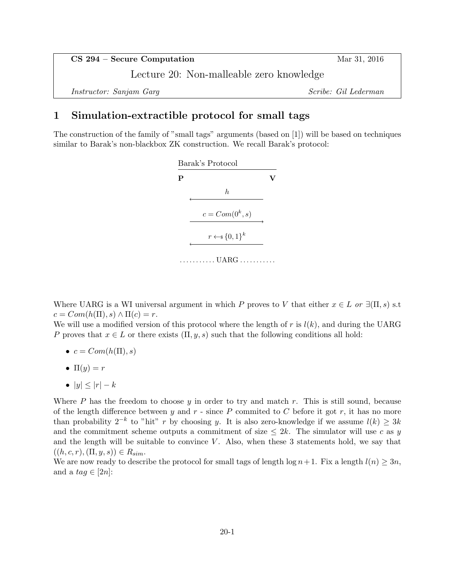| $CS$ 294 – Secure Computation            | Mar 31, 2016         |
|------------------------------------------|----------------------|
| Lecture 20: Non-malleable zero knowledge |                      |
| <i>Instructor: Sanjam Garg</i>           | Scribe: Gil Lederman |

## 1 Simulation-extractible protocol for small tags

The construction of the family of "small tags" arguments (based on [1]) will be based on techniques similar to Barak's non-blackbox ZK construction. We recall Barak's protocol:



Where UARG is a WI universal argument in which P proves to V that either  $x \in L$  or  $\exists(\Pi, s)$  s.t  $c = Com(h(\Pi), s) \wedge \Pi(c) = r.$ 

We will use a modified version of this protocol where the length of r is  $l(k)$ , and during the UARG P proves that  $x \in L$  or there exists  $(\Pi, y, s)$  such that the following conditions all hold:

- $c = Com(h(\Pi), s)$
- $\Pi(y) = r$
- $|y| \leq |r| k$

Where  $P$  has the freedom to choose  $y$  in order to try and match  $r$ . This is still sound, because of the length difference between  $y$  and  $r$  - since  $P$  commited to  $C$  before it got  $r$ , it has no more than probability  $2^{-k}$  to "hit" r by choosing y. It is also zero-knowledge if we assume  $l(k) \geq 3k$ and the commitment scheme outputs a commitment of size  $\leq 2k$ . The simulator will use c as y and the length will be suitable to convince  $V$ . Also, when these 3 statements hold, we say that  $((h, c, r), (\Pi, y, s)) \in R_{sim}.$ 

We are now ready to describe the protocol for small tags of length  $log n + 1$ . Fix a length  $l(n) \geq 3n$ , and a  $tag \in [2n]:$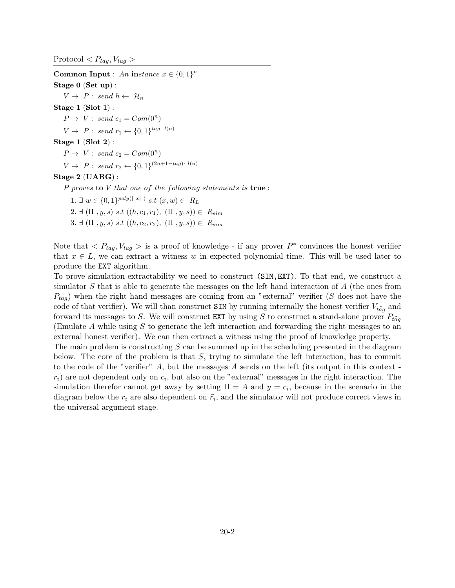$\text{Protocol} < P_{tag}, V_{tag} >$ 

Common Input : An instance  $x \in \{0,1\}^n$ Stage 0 (Set up) :  $V \rightarrow P: \text{ send } h \leftarrow \mathcal{H}_n$ Stage  $1$  (Slot  $1$ ):  $P \rightarrow V: \; send \; c_1 = Com(0^n)$  $V \rightarrow P: \text{ send } r_1 \leftarrow \{0, 1\}^{\text{tag} \cdot l(n)}$ Stage 1 (Slot 2) :  $P \rightarrow V: \; send \; c_2 = Com(0^n)$  $V \to P: \text{ send } r_2 \leftarrow \{0, 1\}^{(2n+1-tag) \cdot l(n)}$ Stage 2 (UARG) :

P proves to V that one of the following statements is true :

1.  $\exists w \in \{0,1\}^{poly(|x|)} \; s.t \; (x,w) \in \; R_L$ 2.  $\exists (\Pi, y, s) \; s.t \; ((h, c_1, r_1), (\Pi, y, s)) \in R_{sim}$ 3.  $\exists (\Pi, y, s) \; s.t \; ((h, c_2, r_2), (\Pi, y, s)) \in R_{sim}$ 

Note that  $\langle P_{tag}, V_{tag} \rangle$  is a proof of knowledge - if any prover  $P^*$  convinces the honest verifier that  $x \in L$ , we can extract a witness w in expected polynomial time. This will be used later to produce the EXT algorithm.

To prove simulation-extractability we need to construct (SIM,EXT). To that end, we construct a simulator  $S$  that is able to generate the messages on the left hand interaction of  $A$  (the ones from  $P_{tag}$ ) when the right hand messages are coming from an "external" verifier (S does not have the code of that verifier). We will than construct SIM by running internally the honest verifier  $V_{\tilde{t}aa}$  and forward its messages to S. We will construct EXT by using S to construct a stand-alone prover  $P_{\tilde{taq}}$ (Emulate A while using S to generate the left interaction and forwarding the right messages to an external honest verifier). We can then extract a witness using the proof of knowledge property.

The main problem is constructing  $S$  can be summed up in the scheduling presented in the diagram below. The core of the problem is that  $S$ , trying to simulate the left interaction, has to commit to the code of the "verifier" A, but the messages A sends on the left (its output in this context  $r_i$ ) are not dependent only on  $c_i$ , but also on the "external" messages in the right interaction. The simulation therefor cannot get away by setting  $\Pi = A$  and  $y = c_i$ , because in the scenario in the diagram below the  $r_i$  are also dependent on  $\tilde{r_i}$ , and the simulator will not produce correct views in the universal argument stage.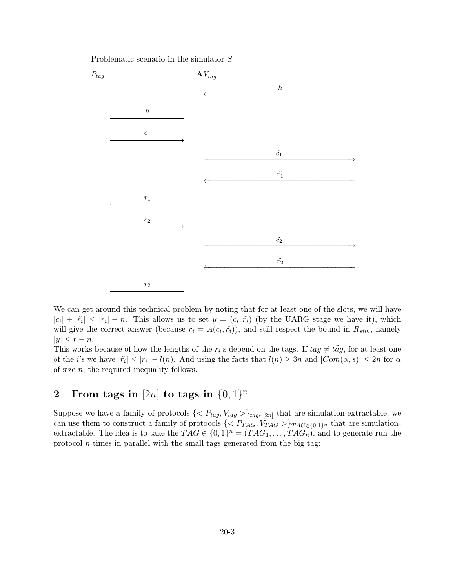

Problematic scenario in the simulator S

We can get around this technical problem by noting that for at least one of the slots, we will have  $|c_i| + |\tilde{r}_i| \leq |r_i| - n$ . This allows us to set  $y = (c_i, \tilde{r}_i)$  (by the UARG stage we have it), which will give the correct answer (because  $r_i = A(c_i, \tilde{r}_i)$ ), and still respect the bound in  $R_{sim}$ , namely  $|y| \leq r - n$ .

This works because of how the lengths of the  $r_i$ 's depend on the tags. If  $tag \neq t\tilde{a}g$ , for at least one of the *i*'s we have  $|\tilde{r}_i| \leq |r_i| - l(n)$ . And using the facts that  $l(n) \geq 3n$  and  $|Com(\alpha, s)| \leq 2n$  for  $\alpha$ of size  $n$ , the required inequality follows.

## 2 From tags in [2n] to tags in  $\{0,1\}^n$

Suppose we have a family of protocols  $\{< P_{tag}, V_{tag} > \}_{tag{2n} \in [2n]}$  that are simulation-extractable, we can use them to construct a family of protocols  $\{< P_{TAG}, V_{TAG}>\}_{TAG \in \{0,1\}^n}$  that are simulationextractable. The idea is to take the  $TAG \in \{0,1\}^n = (TAG_1, \ldots, TAG_n)$ , and to generate run the protocol  $n$  times in parallel with the small tags generated from the big tag: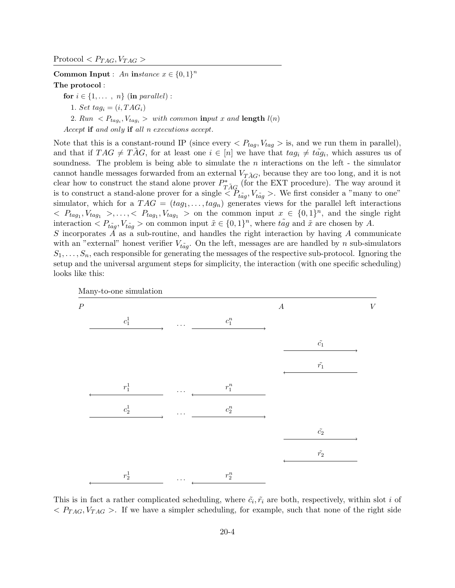Common Input : An instance  $x \in \{0,1\}^n$ The protocol :

for  $i \in \{1, \ldots, n\}$  (in parallel): 1. Set tag<sub>i</sub> =  $(i, TAG<sub>i</sub>)$ 2.  $Run \langle P_{tag_i}, V_{tag_i} \rangle$  with common input x and length  $l(n)$ Accept if and only if all n executions accept.

Note that this is a constant-round IP (since every  $\langle P_{taq}, V_{taq} \rangle$  is, and we run them in parallel), and that if  $TAG \neq T\tilde{A}G$ , for at least one  $i \in [n]$  we have that  $tag_i \neq t\tilde{ag}_i$ , which assures us of soundness. The problem is being able to simulate the  $n$  interactions on the left - the simulator cannot handle messages forwarded from an external  $V_{T\tilde{A}G}$ , because they are too long, and it is not clear how to construct the stand alone prover  $P_{TAG}^*$  (for the EXT procedure). The way around it is to construct a stand-alone prover for a single  $\langle P_{t\tilde{a}g}, V_{t\tilde{a}g} \rangle$ . We first consider a "many to one" simulator, which for a  $TAG = (tag_1, \ldots, tag_n)$  generates views for the parallel left interactions  $\langle P_{tag_1}, V_{tag_1} \rangle, \langle V_{tag_1} \rangle, V_{tag_1}$  and the single right interaction  $\langle P_{\tilde{t} \tilde{a} g}, V_{\tilde{t} \tilde{a} g} \rangle$  on common input  $\tilde{x} \in \{0, 1\}^n$ , where  $\tilde{t} \tilde{a} g$  and  $\tilde{x}$  are chosen by A.

S incorporates  $A$  as a sub-routine, and handles the right interaction by having  $A$  communicate with an "external" honest verifier  $V_{\tilde{t}aq}$ . On the left, messages are are handled by n sub-simulators  $S_1, \ldots, S_n$ , each responsible for generating the messages of the respective sub-protocol. Ignoring the setup and the universal argument steps for simplicity, the interaction (with one specific scheduling) looks like this:



This is in fact a rather complicated scheduling, where  $\tilde{c}_i, \tilde{r}_i$  are both, respectively, within slot i of  $\langle P_{TAG}, V_{TAG} \rangle$ . If we have a simpler scheduling, for example, such that none of the right side